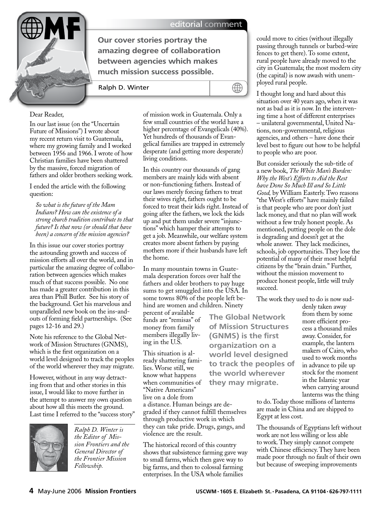

editorial comment

**Our cover stories portray the amazing degree of collaboration between agencies which makes much mission success possible.**

Ralph D. Winter



## Dear Reader,

In our last issue (on the "Uncertain Future of Missions") I wrote about my recent return visit to Guatemala, where my growing family and I worked between 1956 and 1966. I wrote of how Christian families have been shattered by the massive, forced migration of fathers and older brothers seeking work.

I ended the article with the following question:

*So what is the future of the Mam Indians? How can the existence of a strong church tradition contribute to that future? Is that now (or should that have been) a concern of the mission agencies?* 

In this issue our cover stories portray the astounding growth and success of mission efforts all over the world, and in particular the amazing degree of collaboration between agencies which makes much of that success possible. No one has made a greater contribution in this area than Phill Butler. See his story of the background. Get his marvelous and unparalleled new book on the ins-andouts of forming field partnerships. (See pages 12-16 and 29.)

Note his reference to the Global Network of Mission Structures (GNMS), which is the first organization on a world level designed to track the peoples of the world wherever they may migrate.

However, without in any way detracting from that and other stories in this issue, I would like to move further in the attempt to answer my own question about how all this meets the ground. Last time I referred to the "success story"



*Ralph D. Winter is the Editor of Mission Frontiers and the General Director of the Frontier Mission Fellowship.* 

of mission work in Guatemala. Only a few small countries of the world have a higher percentage of Evangelicals (40%). Yet hundreds of thousands of Evangelical families are trapped in extremely desperate (and getting more desperate) living conditions.

In this country our thousands of gang members are mainly kids with absent or non-functioning fathers. Instead of our laws merely forcing fathers to treat their wives right, fathers ought to be forced to treat their kids right. Instead of going after the fathers, we lock the kids up and put them under severe "injunctions" which hamper their attempts to get a job. Meanwhile, our welfare system creates more absent fathers by paying mothers more if their husbands have left the home.

In many mountain towns in Guatemala desperation forces over half the fathers and older brothers to pay huge sums to get smuggled into the USA. In some towns 80% of the people left behind are women and children. Ninety

percent of available funds are "remisas" of money from family members illegally living in the U.S.

This situation is already shattering families. Worse still, we know what happens when communities of "Native Americans" live on a dole from

a distance. Human beings are degraded if they cannot fulfill themselves through productive work in which they can take pride. Drugs, gangs, and violence are the result.

The historical record of this country shows that subsistence farming gave way to small farms, which then gave way to big farms, and then to colossal farming enterprises. In the USA whole families

could move to cities (without illegally passing through tunnels or barbed-wire fences to get there). To some extent, rural people have already moved to the city in Guatemala; the most modern city (the capital) is now awash with unemployed rural people.

I thought long and hard about this situation over 40 years ago, when it was not as bad as it is now. In the intervening time a host of different enterprises – unilateral governmental, United Nations, non-governmental, religious agencies, and others – have done their level best to figure out how to be helpful to people who are poor.

But consider seriously the sub-title of a new book, *The White Man's Burden: Why the West's Efforts to Aid the Rest have Done So Much Ill and So Little Good,* by William Easterly. Two reasons "the West's efforts" have mainly failed is that people who are poor don't just lack money, and that no plan will work without a few truly honest people. As mentioned, putting people on the dole is degrading and doesn't get at the whole answer. They lack medicines, schools, job opportunities. They lose the potential of many of their most helpful citizens by the "brain drain." Further, without the mission movement to produce honest people, little will truly succeed.

The work they used to do is now sud-

**The Global Network of Mission Structures (GNMS) is the first organization on a world level designed to track the peoples of the world wherever they may migrate.**

denly taken away from them by some more efficient process a thousand miles away. Consider, for example, the lantern makers of Cairo, who used to work months in advance to pile up stock for the moment in the Islamic year when carrying around lanterns was the thing

to do. Today those millions of lanterns are made in China and are shipped to Egypt at less cost.

The thousands of Egyptians left without work are not less willing or less able to work. They simply cannot compete with Chinese efficiency. They have been made poor through no fault of their own but because of sweeping improvements